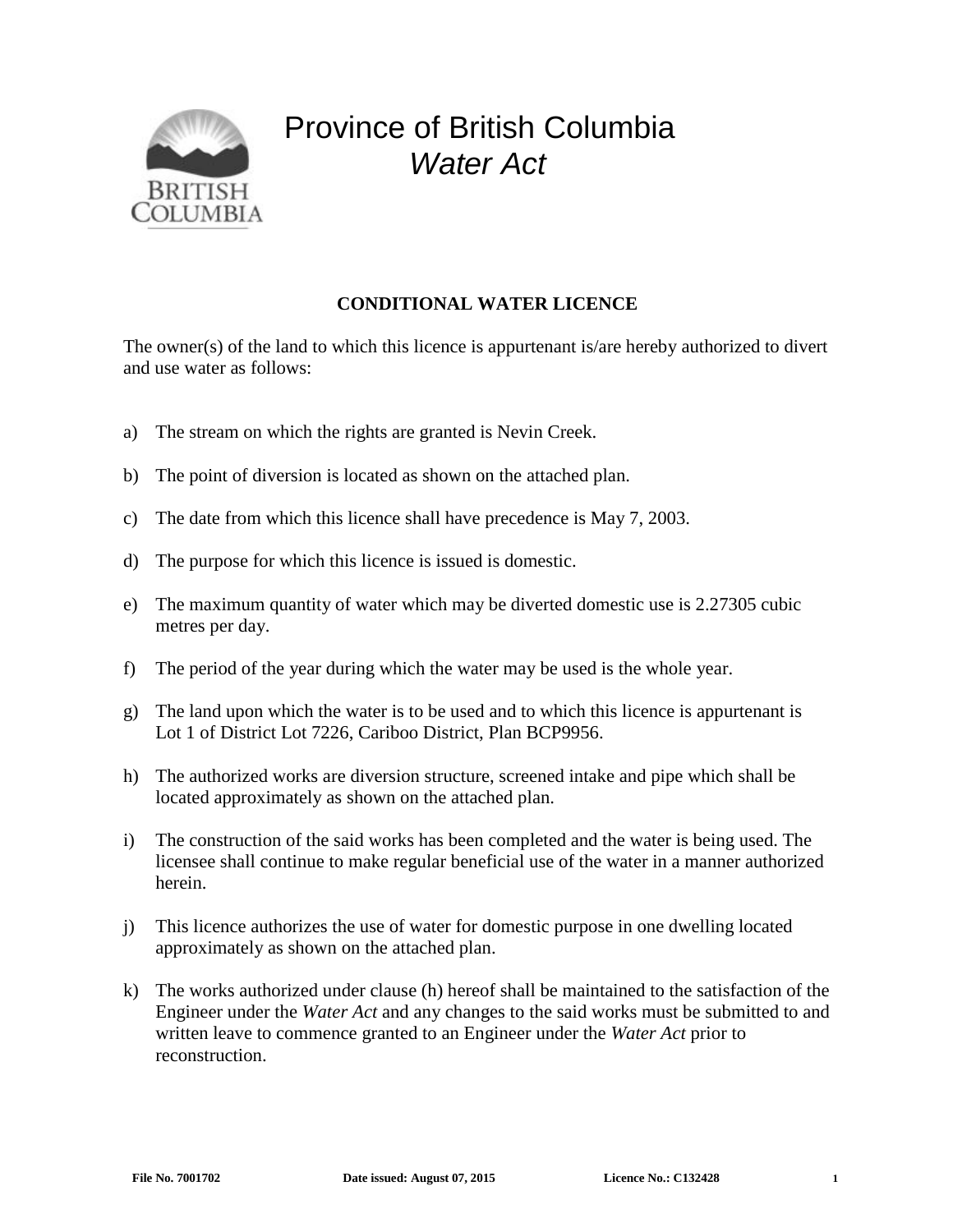

## Province of British Columbia *Water Act*

## **CONDITIONAL WATER LICENCE**

The owner(s) of the land to which this licence is appurtenant is/are hereby authorized to divert and use water as follows:

- a) The stream on which the rights are granted is Nevin Creek.
- b) The point of diversion is located as shown on the attached plan.
- c) The date from which this licence shall have precedence is May 7, 2003.
- d) The purpose for which this licence is issued is domestic.
- e) The maximum quantity of water which may be diverted domestic use is 2.27305 cubic metres per day.
- f) The period of the year during which the water may be used is the whole year.
- g) The land upon which the water is to be used and to which this licence is appurtenant is Lot 1 of District Lot 7226, Cariboo District, Plan BCP9956.
- h) The authorized works are diversion structure, screened intake and pipe which shall be located approximately as shown on the attached plan.
- i) The construction of the said works has been completed and the water is being used. The licensee shall continue to make regular beneficial use of the water in a manner authorized herein.
- j) This licence authorizes the use of water for domestic purpose in one dwelling located approximately as shown on the attached plan.
- k) The works authorized under clause (h) hereof shall be maintained to the satisfaction of the Engineer under the *Water Act* and any changes to the said works must be submitted to and written leave to commence granted to an Engineer under the *Water Act* prior to reconstruction.